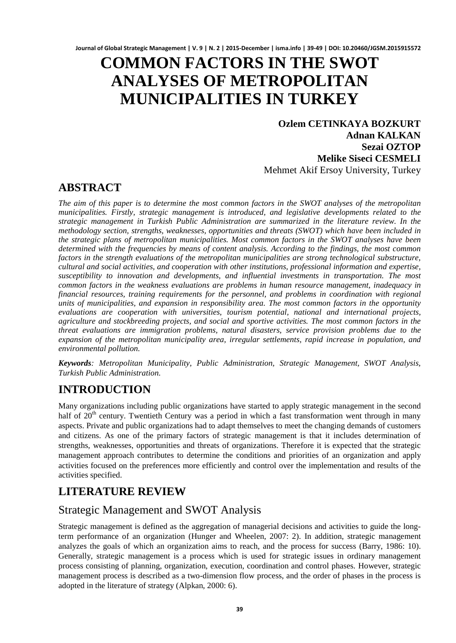# **COMMON FACTORS IN THE SWOT ANALYSES OF METROPOLITAN MUNICIPALITIES IN TURKEY**

**Ozlem CETINKAYA BOZKURT Adnan KALKAN Sezai OZTOP Melike Siseci CESMELI** Mehmet Akif Ersoy University, Turkey

# **ABSTRACT**

*The aim of this paper is to determine the most common factors in the SWOT analyses of the metropolitan municipalities. Firstly, strategic management is introduced, and legislative developments related to the strategic management in Turkish Public Administration are summarized in the literature review. In the methodology section, strengths, weaknesses, opportunities and threats (SWOT) which have been included in the strategic plans of metropolitan municipalities. Most common factors in the SWOT analyses have been determined with the frequencies by means of content analysis. According to the findings, the most common*  factors in the strength evaluations of the metropolitan municipalities are strong technological substructure, *cultural and social activities, and cooperation with other institutions, professional information and expertise, susceptibility to innovation and developments, and influential investments in transportation. The most common factors in the weakness evaluations are problems in human resource management, inadequacy in financial resources, training requirements for the personnel, and problems in coordination with regional units of municipalities, and expansion in responsibility area. The most common factors in the opportunity evaluations are cooperation with universities, tourism potential, national and international projects, agriculture and stockbreeding projects, and social and sportive activities. The most common factors in the threat evaluations are immigration problems, natural disasters, service provision problems due to the expansion of the metropolitan municipality area, irregular settlements, rapid increase in population, and environmental pollution.* 

*Keywords: Metropolitan Municipality, Public Administration, Strategic Management, SWOT Analysis, Turkish Public Administration.*

# **INTRODUCTION**

Many organizations including public organizations have started to apply strategic management in the second half of  $20<sup>th</sup>$  century. Twentieth Century was a period in which a fast transformation went through in many aspects. Private and public organizations had to adapt themselves to meet the changing demands of customers and citizens. As one of the primary factors of strategic management is that it includes determination of strengths, weaknesses, opportunities and threats of organizations. Therefore it is expected that the strategic management approach contributes to determine the conditions and priorities of an organization and apply activities focused on the preferences more efficiently and control over the implementation and results of the activities specified.

# **LITERATURE REVIEW**

## Strategic Management and SWOT Analysis

Strategic management is defined as the aggregation of managerial decisions and activities to guide the longterm performance of an organization (Hunger and Wheelen, 2007: 2). In addition, strategic management analyzes the goals of which an organization aims to reach, and the process for success (Barry, 1986: 10). Generally, strategic management is a process which is used for strategic issues in ordinary management process consisting of planning, organization, execution, coordination and control phases. However, strategic management process is described as a two-dimension flow process, and the order of phases in the process is adopted in the literature of strategy (Alpkan, 2000: 6).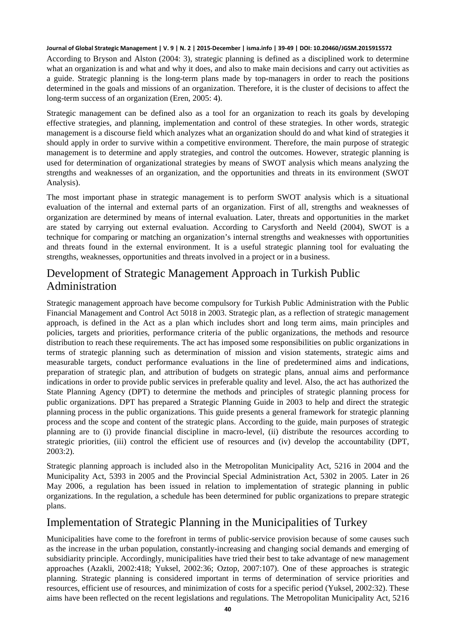According to Bryson and Alston (2004: 3), strategic planning is defined as a disciplined work to determine what an organization is and what and why it does, and also to make main decisions and carry out activities as a guide. Strategic planning is the long-term plans made by top-managers in order to reach the positions determined in the goals and missions of an organization. Therefore, it is the cluster of decisions to affect the long-term success of an organization (Eren, 2005: 4).

Strategic management can be defined also as a tool for an organization to reach its goals by developing effective strategies, and planning, implementation and control of these strategies. In other words, strategic management is a discourse field which analyzes what an organization should do and what kind of strategies it should apply in order to survive within a competitive environment. Therefore, the main purpose of strategic management is to determine and apply strategies, and control the outcomes. However, strategic planning is used for determination of organizational strategies by means of SWOT analysis which means analyzing the strengths and weaknesses of an organization, and the opportunities and threats in its environment (SWOT Analysis).

The most important phase in strategic management is to perform SWOT analysis which is a situational evaluation of the internal and external parts of an organization. First of all, strengths and weaknesses of organization are determined by means of internal evaluation. Later, threats and opportunities in the market are stated by carrying out external evaluation. According to Carysforth and Neeld (2004), SWOT is a technique for comparing or matching an organization's internal strengths and weaknesses with opportunities and threats found in the external environment. It is a useful strategic planning tool for evaluating the strengths, weaknesses, opportunities and threats involved in a project or in a business.

### Development of Strategic Management Approach in Turkish Public Administration

Strategic management approach have become compulsory for Turkish Public Administration with the Public Financial Management and Control Act 5018 in 2003. Strategic plan, as a reflection of strategic management approach, is defined in the Act as a plan which includes short and long term aims, main principles and policies, targets and priorities, performance criteria of the public organizations, the methods and resource distribution to reach these requirements. The act has imposed some responsibilities on public organizations in terms of strategic planning such as determination of mission and vision statements, strategic aims and measurable targets, conduct performance evaluations in the line of predetermined aims and indications, preparation of strategic plan, and attribution of budgets on strategic plans, annual aims and performance indications in order to provide public services in preferable quality and level. Also, the act has authorized the State Planning Agency (DPT) to determine the methods and principles of strategic planning process for public organizations. DPT has prepared a Strategic Planning Guide in 2003 to help and direct the strategic planning process in the public organizations. This guide presents a general framework for strategic planning process and the scope and content of the strategic plans. According to the guide, main purposes of strategic planning are to (i) provide financial discipline in macro-level, (ii) distribute the resources according to strategic priorities, (iii) control the efficient use of resources and (iv) develop the accountability (DPT, 2003:2).

Strategic planning approach is included also in the Metropolitan Municipality Act, 5216 in 2004 and the Municipality Act, 5393 in 2005 and the Provincial Special Administration Act, 5302 in 2005. Later in 26 May 2006, a regulation has been issued in relation to implementation of strategic planning in public organizations. In the regulation, a schedule has been determined for public organizations to prepare strategic plans.

#### Implementation of Strategic Planning in the Municipalities of Turkey

Municipalities have come to the forefront in terms of public-service provision because of some causes such as the increase in the urban population, constantly-increasing and changing social demands and emerging of subsidiarity principle. Accordingly, municipalities have tried their best to take advantage of new management approaches (Azakli, 2002:418; Yuksel, 2002:36; Oztop, 2007:107). One of these approaches is strategic planning. Strategic planning is considered important in terms of determination of service priorities and resources, efficient use of resources, and minimization of costs for a specific period (Yuksel, 2002:32). These aims have been reflected on the recent legislations and regulations. The Metropolitan Municipality Act, 5216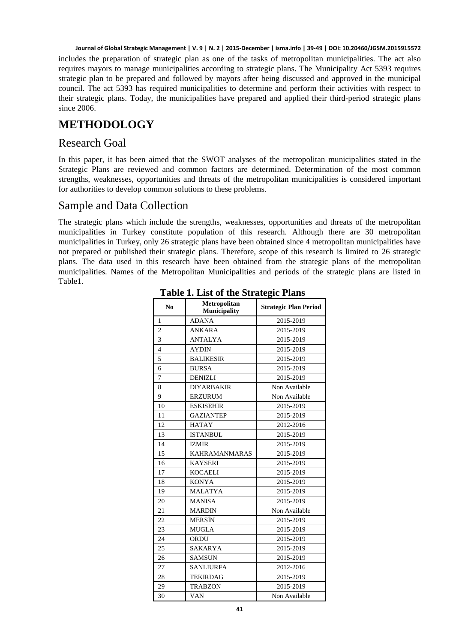includes the preparation of strategic plan as one of the tasks of metropolitan municipalities. The act also requires mayors to manage municipalities according to strategic plans. The Municipality Act 5393 requires strategic plan to be prepared and followed by mayors after being discussed and approved in the municipal council. The act 5393 has required municipalities to determine and perform their activities with respect to their strategic plans. Today, the municipalities have prepared and applied their third-period strategic plans since 2006.

# **METHODOLOGY**

#### Research Goal

In this paper, it has been aimed that the SWOT analyses of the metropolitan municipalities stated in the Strategic Plans are reviewed and common factors are determined. Determination of the most common strengths, weaknesses, opportunities and threats of the metropolitan municipalities is considered important for authorities to develop common solutions to these problems.

### Sample and Data Collection

The strategic plans which include the strengths, weaknesses, opportunities and threats of the metropolitan municipalities in Turkey constitute population of this research. Although there are 30 metropolitan municipalities in Turkey, only 26 strategic plans have been obtained since 4 metropolitan municipalities have not prepared or published their strategic plans. Therefore, scope of this research is limited to 26 strategic plans. The data used in this research have been obtained from the strategic plans of the metropolitan municipalities. Names of the Metropolitan Municipalities and periods of the strategic plans are listed in Table1.

| N <sub>0</sub> | Metropolitan<br><b>Municipality</b> | <b>Strategic Plan Period</b> |
|----------------|-------------------------------------|------------------------------|
| $\mathbf{1}$   | <b>ADANA</b>                        | 2015-2019                    |
| $\overline{2}$ | ANKARA                              | 2015-2019                    |
| 3              | <b>ANTALYA</b>                      | 2015-2019                    |
| $\overline{4}$ | <b>AYDIN</b>                        | 2015-2019                    |
| 5              | <b>BALIKESIR</b>                    | 2015-2019                    |
| 6              | <b>BURSA</b>                        | 2015-2019                    |
| $\overline{7}$ | <b>DENIZLI</b>                      | 2015-2019                    |
| 8              | <b>DIYARBAKIR</b>                   | Non Available                |
| 9              | <b>ERZURUM</b>                      | Non Available                |
| 10             | <b>ESKISEHIR</b>                    | 2015-2019                    |
| 11             | <b>GAZIANTEP</b>                    | 2015-2019                    |
| 12             | <b>HATAY</b>                        | 2012-2016                    |
| 13             | <b>ISTANBUL</b>                     | 2015-2019                    |
| 14             | <b>IZMIR</b>                        | 2015-2019                    |
| 15             | <b>KAHRAMANMARAS</b>                | 2015-2019                    |
| 16             | <b>KAYSERI</b>                      | 2015-2019                    |
| 17             | <b>KOCAELI</b>                      | 2015-2019                    |
| 18             | <b>KONYA</b>                        | 2015-2019                    |
| 19             | <b>MALATYA</b>                      | 2015-2019                    |
| 20             | <b>MANISA</b>                       | 2015-2019                    |
| 21             | <b>MARDIN</b>                       | Non Available                |
| 22             | <b>MERSIN</b>                       | 2015-2019                    |
| 23             | <b>MUGLA</b>                        | 2015-2019                    |
| 24             | ORDU                                | 2015-2019                    |
| 25             | <b>SAKARYA</b>                      | 2015-2019                    |
| 26             | <b>SAMSUN</b>                       | 2015-2019                    |
| 27             | <b>SANLIURFA</b>                    | 2012-2016                    |
| 28             | <b>TEKIRDAG</b>                     | 2015-2019                    |
| 29             | <b>TRABZON</b>                      | 2015-2019                    |
| 30             | <b>VAN</b>                          | Non Available                |

#### **Table 1. List of the Strategic Plans**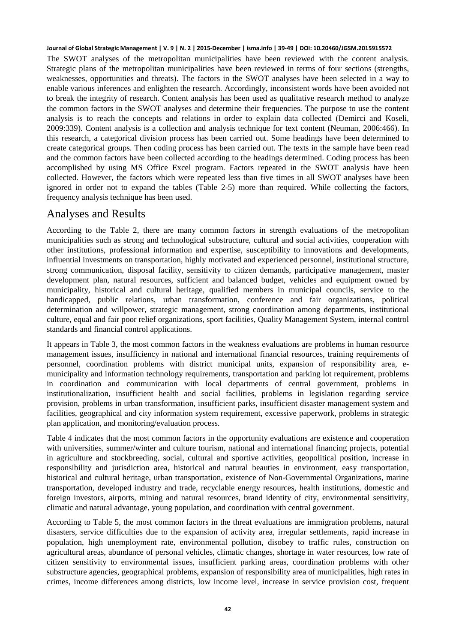The SWOT analyses of the metropolitan municipalities have been reviewed with the content analysis. Strategic plans of the metropolitan municipalities have been reviewed in terms of four sections (strengths, weaknesses, opportunities and threats). The factors in the SWOT analyses have been selected in a way to enable various inferences and enlighten the research. Accordingly, inconsistent words have been avoided not to break the integrity of research. Content analysis has been used as qualitative research method to analyze the common factors in the SWOT analyses and determine their frequencies. The purpose to use the content analysis is to reach the concepts and relations in order to explain data collected (Demirci and Koseli, 2009:339). Content analysis is a collection and analysis technique for text content (Neuman, 2006:466). In this research, a categorical division process has been carried out. Some headings have been determined to create categorical groups. Then coding process has been carried out. The texts in the sample have been read and the common factors have been collected according to the headings determined. Coding process has been accomplished by using MS Office Excel program. Factors repeated in the SWOT analysis have been collected. However, the factors which were repeated less than five times in all SWOT analyses have been ignored in order not to expand the tables (Table 2-5) more than required. While collecting the factors, frequency analysis technique has been used.

#### Analyses and Results

According to the Table 2, there are many common factors in strength evaluations of the metropolitan municipalities such as strong and technological substructure, cultural and social activities, cooperation with other institutions, professional information and expertise, susceptibility to innovations and developments, influential investments on transportation, highly motivated and experienced personnel, institutional structure, strong communication, disposal facility, sensitivity to citizen demands, participative management, master development plan, natural resources, sufficient and balanced budget, vehicles and equipment owned by municipality, historical and cultural heritage, qualified members in municipal councils, service to the handicapped, public relations, urban transformation, conference and fair organizations, political determination and willpower, strategic management, strong coordination among departments, institutional culture, equal and fair poor relief organizations, sport facilities, Quality Management System, internal control standards and financial control applications.

It appears in Table 3, the most common factors in the weakness evaluations are problems in human resource management issues, insufficiency in national and international financial resources, training requirements of personnel, coordination problems with district municipal units, expansion of responsibility area, emunicipality and information technology requirements, transportation and parking lot requirement, problems in coordination and communication with local departments of central government, problems in institutionalization, insufficient health and social facilities, problems in legislation regarding service provision, problems in urban transformation, insufficient parks, insufficient disaster management system and facilities, geographical and city information system requirement, excessive paperwork, problems in strategic plan application, and monitoring/evaluation process.

Table 4 indicates that the most common factors in the opportunity evaluations are existence and cooperation with universities, summer/winter and culture tourism, national and international financing projects, potential in agriculture and stockbreeding, social, cultural and sportive activities, geopolitical position, increase in responsibility and jurisdiction area, historical and natural beauties in environment, easy transportation, historical and cultural heritage, urban transportation, existence of Non-Governmental Organizations, marine transportation, developed industry and trade, recyclable energy resources, health institutions, domestic and foreign investors, airports, mining and natural resources, brand identity of city, environmental sensitivity, climatic and natural advantage, young population, and coordination with central government.

According to Table 5, the most common factors in the threat evaluations are immigration problems, natural disasters, service difficulties due to the expansion of activity area, irregular settlements, rapid increase in population, high unemployment rate, environmental pollution, disobey to traffic rules, construction on agricultural areas, abundance of personal vehicles, climatic changes, shortage in water resources, low rate of citizen sensitivity to environmental issues, insufficient parking areas, coordination problems with other substructure agencies, geographical problems, expansion of responsibility area of municipalities, high rates in crimes, income differences among districts, low income level, increase in service provision cost, frequent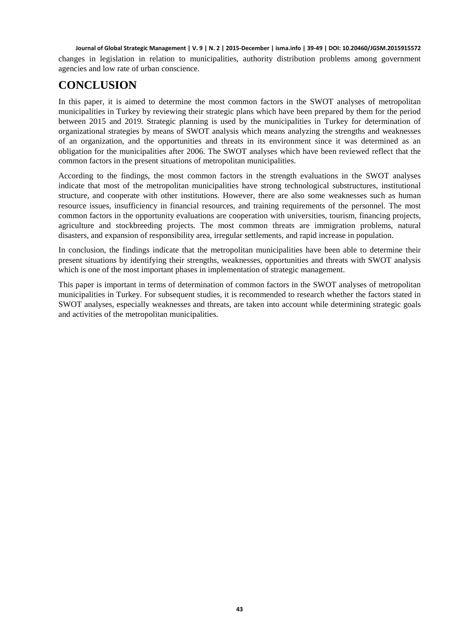changes in legislation in relation to municipalities, authority distribution problems among government agencies and low rate of urban conscience.

# **CONCLUSION**

In this paper, it is aimed to determine the most common factors in the SWOT analyses of metropolitan municipalities in Turkey by reviewing their strategic plans which have been prepared by them for the period between 2015 and 2019. Strategic planning is used by the municipalities in Turkey for determination of organizational strategies by means of SWOT analysis which means analyzing the strengths and weaknesses of an organization, and the opportunities and threats in its environment since it was determined as an obligation for the municipalities after 2006. The SWOT analyses which have been reviewed reflect that the common factors in the present situations of metropolitan municipalities.

According to the findings, the most common factors in the strength evaluations in the SWOT analyses indicate that most of the metropolitan municipalities have strong technological substructures, institutional structure, and cooperate with other institutions. However, there are also some weaknesses such as human resource issues, insufficiency in financial resources, and training requirements of the personnel. The most common factors in the opportunity evaluations are cooperation with universities, tourism, financing projects, agriculture and stockbreeding projects. The most common threats are immigration problems, natural disasters, and expansion of responsibility area, irregular settlements, and rapid increase in population.

In conclusion, the findings indicate that the metropolitan municipalities have been able to determine their present situations by identifying their strengths, weaknesses, opportunities and threats with SWOT analysis which is one of the most important phases in implementation of strategic management.

This paper is important in terms of determination of common factors in the SWOT analyses of metropolitan municipalities in Turkey. For subsequent studies, it is recommended to research whether the factors stated in SWOT analyses, especially weaknesses and threats, are taken into account while determining strategic goals and activities of the metropolitan municipalities.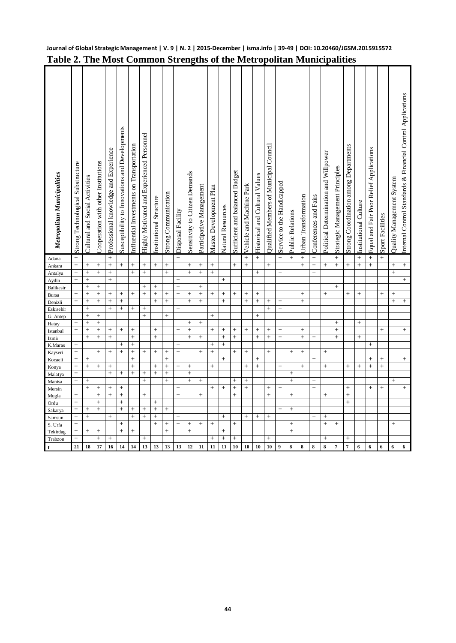| Metropolitan Municipalities | Strong Technological Substructure | Cultural and Social Activities | Cooperation with other Institutions | Professional knowledge and Experience | Susceptibility to Innovations and Developments | Influential Investments on Transportation | Highly Motivated and Experienced Personnel | Institutional Structure | Strong Communication | Disposal Facility | Sensitivity to Citizen Demands | Participative Management | Master Development Plan | <b>Natural Resources</b> | Sufficient and balanced Budget | Vehicle and Machine Park | Historical and Cultural Values | Qualified Members of Municipal Council | Service to the Handicapped | Public Relations | Urban Transformation | Conferences and Fairs | Political Determination and Willpower | Strategic Management Principles | Strong Coordination among Departments | Institutional Culture | Equal and Fair Poor Relief Applications | Sport Facilities | Quality Management System | Internal Control Standards & Financial Control Applications |
|-----------------------------|-----------------------------------|--------------------------------|-------------------------------------|---------------------------------------|------------------------------------------------|-------------------------------------------|--------------------------------------------|-------------------------|----------------------|-------------------|--------------------------------|--------------------------|-------------------------|--------------------------|--------------------------------|--------------------------|--------------------------------|----------------------------------------|----------------------------|------------------|----------------------|-----------------------|---------------------------------------|---------------------------------|---------------------------------------|-----------------------|-----------------------------------------|------------------|---------------------------|-------------------------------------------------------------|
| Adana                       | $\ddot{}$                         |                                |                                     | $\ddot{}$                             |                                                |                                           |                                            |                         |                      | $\ddot{}$         |                                |                          |                         |                          |                                | $\ddot{}$                | $\ddot{+}$                     |                                        | $\ddot{}$                  | $\ddot{+}$       | $\ddot{}$            | $\ddot{}$             |                                       | $\ddot{}$                       |                                       | $\ddot{}$             | $\ddot{}$                               | $\ddot{}$        |                           |                                                             |
| Ankara                      | $^{+}$                            | $^{+}$                         |                                     | $\ddot{}$                             | $^{+}$                                         | $^{+}$                                    | $\qquad \qquad +$                          | $^{+}$                  |                      |                   | $^{+}$                         | $^{+}$                   | $^{+}$                  |                          | $\qquad \qquad +$              | $^{+}$                   |                                | $^{+}$                                 |                            |                  | $^{+}$               | $^{+}$                | $^{+}$                                | $^{+}$                          | $\qquad \qquad +$                     | $^{+}$                | $^{+}$                                  |                  | $^{+}$                    |                                                             |
| Antalya                     | $^{+}$                            | $^{+}$                         | $^+$                                | $\ddot{}$                             |                                                | $\qquad \qquad +$                         | $\! + \!\!\!\!$                            |                         | $^{+}$               |                   | $^{+}$                         | $\boldsymbol{+}$         | $^{+}$                  |                          |                                |                          | $+$                            |                                        | $^{+}$                     |                  |                      | $\qquad \qquad +$     |                                       |                                 |                                       |                       |                                         |                  | $\ddot{}$                 |                                                             |
| Aydin                       | $^{+}$                            | $^{+}$                         |                                     | $\ddot{}$                             |                                                |                                           |                                            |                         |                      | $^{+}$            |                                |                          |                         | $^{+}$                   |                                |                          |                                |                                        |                            |                  |                      |                       |                                       |                                 |                                       |                       |                                         |                  |                           | $\ddot{}$                                                   |
| <b>Balikesir</b>            |                                   | $^{+}$                         | $^{+}$                              |                                       |                                                |                                           | $^{+}$                                     | $^{+}$                  |                      | $^{+}$            |                                | $^{+}$                   |                         |                          |                                |                          |                                |                                        |                            |                  |                      |                       |                                       | $\ddot{}$                       |                                       |                       |                                         |                  |                           |                                                             |
| Bursa                       | $^{+}$                            | $^{+}$                         | $^{+}$                              | $^{+}$                                | $\,+\,$                                        | $+$                                       | $^{+}$                                     | $\ddot{}$               | $^{+}$               | $\ddot{}$         | $\overline{+}$                 | $^{+}$                   | $^+$                    | $^{+}$                   | $^{+}$                         | $^{+}$                   | $^{+}$                         |                                        |                            |                  | $^{+}$               |                       | $^{+}$                                |                                 | $^{+}$                                | $^{+}$                |                                         | $^{+}$           | $^{+}$                    |                                                             |
| Denizli                     | $\ddot{}$                         | $^{+}$                         | $\ddot{}$                           | $^{+}$                                | $^{+}$                                         |                                           |                                            | $\ddot{}$               | $\ddot{}$            |                   | $^{+}$                         | $^{+}$                   |                         | $^{+}$                   |                                | $^{+}$                   | $^{+}$                         | $^{+}$                                 | $^{+}$                     |                  | $^{+}$               |                       |                                       |                                 |                                       |                       |                                         |                  | $^{+}$                    | $^{+}$                                                      |
| Eskisehir                   |                                   | $^{+}$                         |                                     | $\ddot{}$                             | $\ddot{}$                                      | $^{+}$                                    |                                            |                         |                      | $\overline{+}$    |                                |                          |                         |                          |                                |                          |                                | $^{+}$                                 | $^{+}$                     |                  |                      |                       |                                       |                                 |                                       |                       |                                         |                  |                           |                                                             |
| G. Antep                    |                                   | $^{+}$                         | $\ddot{}$                           |                                       |                                                |                                           | $\ddot{}$                                  |                         | $\ddot{}$            |                   | $\ddot{}$                      |                          | $^{+}$                  |                          |                                |                          | $^{+}$                         |                                        |                            |                  |                      |                       |                                       |                                 |                                       |                       |                                         |                  |                           |                                                             |
| Hatay                       | $^{+}$<br>$\ddot{}$               | $^{+}$<br>$^{+}$               | $^{+}$<br>$^{+}$                    | $^{+}$                                |                                                | $^{+}$                                    |                                            | $^{+}$                  |                      | $^{+}$            | $^{+}$                         | $\ddot{}$                | $^{+}$                  |                          |                                | $^{+}$                   |                                |                                        |                            |                  | $^{+}$               |                       |                                       | $\ddot{}$<br>$^{+}$             |                                       | $^{+}$                |                                         |                  |                           |                                                             |
| Istanbul                    |                                   | $^{+}$                         | $\ddot{}$                           | $+$                                   | $^{+}$                                         | $^{+}$                                    |                                            | $\ddot{}$               |                      |                   | $\ddot{}$                      | $^{+}$                   |                         | $^{+}$<br>$^{+}$         | $^{+}$<br>$\ddot{}$            |                          | $^{+}$<br>$^{+}$               | $^{+}$<br>$\ddot{}$                    | $^+$<br>$\ddot{}$          |                  | $\ddot{}$            | $\ddot{}$             |                                       | $^{+}$                          |                                       | $^{+}$                |                                         | $^{+}$           |                           |                                                             |
| Izmir                       | $^{+}$                            |                                |                                     |                                       | $^{+}$                                         | $^{+}$                                    |                                            |                         |                      | $^{+}$            |                                |                          | $^{+}$                  | $^{+}$                   |                                |                          |                                |                                        |                            |                  |                      |                       |                                       |                                 |                                       |                       | $^{+}$                                  |                  |                           |                                                             |
| K.Maras                     | $^{+}$                            |                                | $^{+}$                              | $^{+}$                                | $\ddot{}$                                      | $^{+}$                                    | $^{+}$                                     | $^{+}$                  | $^{+}$               | $\ddot{}$         |                                | $^{+}$                   | $^{+}$                  |                          | $^{+}$                         | $^{+}$                   |                                | $\ddot{}$                              |                            | $^{+}$           | $^{+}$               |                       | $^{+}$                                |                                 |                                       |                       |                                         |                  |                           |                                                             |
| Kayseri<br>Kocaeli          | $^{+}$                            | $^{+}$                         |                                     |                                       |                                                | $^{+}$                                    |                                            |                         | $^{+}$               |                   |                                |                          |                         | $^{+}$                   |                                |                          | $^{+}$                         |                                        |                            |                  |                      | $^{+}$                |                                       |                                 |                                       |                       | $^{+}$                                  | $^{+}$           |                           | $^{+}$                                                      |
| Konya                       | $\ddot{}$                         | $^{+}$                         | $^{+}$                              | $\ddot{}$                             |                                                | $\ddot{}$                                 |                                            | $\ddot{}$               | $^{+}$               | $^{+}$            | $^{+}$                         |                          | $^{+}$                  |                          |                                | $\ddot{}$                | $\ddot{}$                      |                                        | $^{+}$                     |                  | $^{+}$               |                       | $^{+}$                                |                                 | $^{+}$                                | $^{+}$                | $\ddot{}$                               | $\ddot{}$        |                           |                                                             |
| Malatya                     | $^{+}$                            |                                |                                     | $\ddot{}$                             | $^{+}$                                         | $^{+}$                                    | $\boldsymbol{+}$                           | $\ddot{}$               | $^{+}$               |                   | $^{+}$                         |                          |                         |                          |                                |                          |                                |                                        |                            | $^{+}$           |                      |                       |                                       |                                 |                                       |                       |                                         |                  |                           |                                                             |
| Manisa                      | $\ddot{}$                         | $^{+}$                         |                                     |                                       |                                                |                                           | $^{+}$                                     |                         | $\ddot{}$            |                   | $\ddot{}$                      | $^{+}$                   |                         |                          | $^{+}$                         | $^{+}$                   |                                |                                        |                            | $^{+}$           |                      | $^{+}$                |                                       |                                 |                                       |                       |                                         |                  | $^{+}$                    |                                                             |
| Mersin                      |                                   | $^{+}$                         | $^{+}$                              |                                       | $^{+}$                                         |                                           |                                            |                         |                      | $^{+}$            |                                |                          | $^{+}$                  | $^{+}$                   | $^{+}$                         | $^{+}$                   |                                | $^{+}$                                 | $^{+}$                     |                  |                      | $\ddot{}$             |                                       |                                 | $^{+}$                                |                       | $^{+}$                                  | $\ddot{}$        |                           | $\ddot{}$                                                   |
| Mugla                       | $^{+}$                            |                                | $^{+}$                              | $^{+}$                                | $^{+}$                                         |                                           | $\! + \!\!\!\!$                            |                         |                      | $^{+}$            |                                | $^{+}$                   |                         |                          | $^{+}$                         |                          |                                | $^{+}$                                 |                            |                  |                      |                       | $^{+}$                                |                                 | $^{+}$                                |                       |                                         |                  |                           |                                                             |
| Ordu                        | $^{+}$                            |                                | $^{+}$                              |                                       | $\ddot{}$                                      |                                           |                                            | $^{+}$                  |                      |                   |                                |                          |                         |                          |                                |                          |                                |                                        |                            |                  |                      |                       |                                       |                                 | $^{+}$                                |                       |                                         |                  |                           |                                                             |
| Sakarya                     | $^{+}$                            | $^{+}$                         | $^{+}$                              |                                       | $^{+}$                                         | $^{+}$                                    | $^{+}$                                     | $\ddot{}$               | $^{+}$               |                   |                                |                          |                         |                          |                                |                          |                                |                                        | $^{+}$                     | $^{+}$           |                      |                       |                                       |                                 |                                       |                       |                                         |                  |                           |                                                             |
| Samsun                      | $^{+}$                            | $^{+}$                         |                                     | $+$                                   |                                                | $^{+}$                                    | $^{+}$                                     | $\ddot{}$               |                      | $^{+}$            |                                |                          |                         | $^{+}$                   |                                | $^{+}$                   | $^{+}$                         | $^{+}$                                 |                            |                  |                      | $^{+}$                | $^{+}$                                |                                 |                                       |                       |                                         |                  |                           |                                                             |
| S. Urfa                     | $^{+}$                            |                                |                                     |                                       | $^{+}$                                         |                                           |                                            | $\ddot{}$               | $^{+}$               | $\ddot{}$         | $\ddot{}$                      | $^{+}$                   | $^{+}$                  |                          | $\ddot{}$                      |                          |                                |                                        |                            | $^{+}$           |                      |                       | $\ddot{}$                             | $^{+}$                          |                                       |                       |                                         |                  | $+$                       |                                                             |
| Tekirdag                    | $^{+}$                            | $^{+}$                         | $^{+}$                              |                                       | $^{+}$                                         | $^{+}$                                    |                                            |                         | $^{+}$               |                   | $^{+}$                         |                          |                         | $^{+}$                   |                                |                          |                                |                                        |                            | $^{+}$           |                      |                       |                                       |                                 |                                       |                       |                                         |                  |                           |                                                             |
| Trabzon                     | $\ddot{}$                         |                                | $^{+}$                              | $+$                                   |                                                |                                           | $+$                                        |                         |                      |                   |                                |                          | $\ddot{}$               | $+$                      | $\ddot{}$                      |                          |                                | $\ddot{}$                              |                            |                  |                      |                       | $\ddot{}$                             |                                 | $\ddot{}$                             |                       |                                         |                  |                           |                                                             |
| f                           | 21                                | 18                             | 17                                  | 16                                    | 14                                             | 14                                        | 13                                         | 13                      | 13                   | 13                | 12                             | 11                       | 11                      | 11                       | 10                             | 10                       | 10                             | 10                                     | 9                          | ${\bf 8}$        | 8                    | 8                     | 8                                     | 7                               | $\overline{7}$                        | 6                     | 6                                       | 6                | $6\phantom{1}$            | $6\phantom{1}$                                              |

#### **Table 2. The Most Common Strengths of the Metropolitan Municipalities**

**Journal of Global Strategic Management | V. 9 | N. 2 | 2015-December | isma.info | 39-49 | DOI: 10.20460/JGSM.2015915572**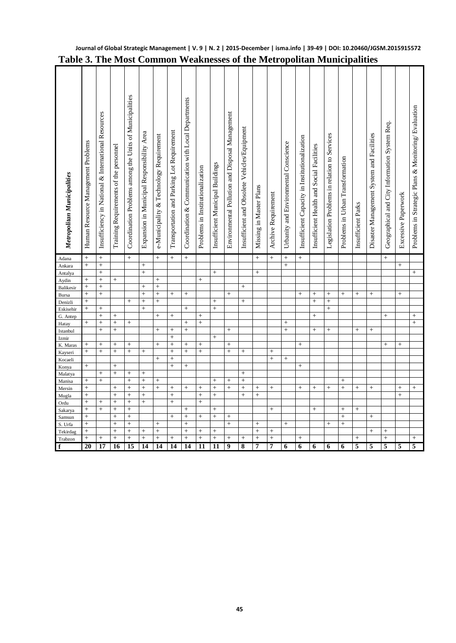| Metropolitan Municipalities | Human Resource Management Problems | Insufficiency in National & International Resources | Training Requirements of the personnel | Coordination Problems among the Units of Municipalities | Expansion in Municipal Responsibility Area | e-Municipality & Technology Requirement | Transportation and Parking Lot Requirement | Coordination & Communication with Local Departments | Problems in Institutionalization | Insufficient Municipal Buildings | Environmental Pollution and Disposal Management | Insufficient and Obsolete Vehicles/Equipment | Missing in Master Plans | Archive Requirement | Urbanity and Environmental Conscience | Insufficient Capacity in Institutionalization | Insufficient Health and Social Facilities | Legislation Problems in relation to Services | Problems in Urban Transformation | Insufficient Parks | Disaster Management System and Facilities | Geographical and City Information System Req. | Excessive Paperwork | Problems in Strategic Plans & Monitoring/ Evaluation |
|-----------------------------|------------------------------------|-----------------------------------------------------|----------------------------------------|---------------------------------------------------------|--------------------------------------------|-----------------------------------------|--------------------------------------------|-----------------------------------------------------|----------------------------------|----------------------------------|-------------------------------------------------|----------------------------------------------|-------------------------|---------------------|---------------------------------------|-----------------------------------------------|-------------------------------------------|----------------------------------------------|----------------------------------|--------------------|-------------------------------------------|-----------------------------------------------|---------------------|------------------------------------------------------|
| Adana                       | $^{+}$                             | $^{+}$                                              |                                        | $^{+}$                                                  |                                            |                                         | $^{+}$                                     | $^{+}$                                              |                                  |                                  |                                                 |                                              |                         |                     | $^{+}$                                | $^{+}$                                        |                                           |                                              |                                  |                    |                                           | $^{+}$                                        |                     |                                                      |
| Ankara                      | $^{+}$                             | $^{+}$                                              |                                        |                                                         | $^{+}$                                     |                                         |                                            |                                                     |                                  |                                  |                                                 |                                              |                         |                     | $\ddot{}$                             |                                               |                                           |                                              |                                  |                    |                                           |                                               | $^{+}$              |                                                      |
| Antalya                     |                                    | $^{+}$                                              |                                        |                                                         | $\boldsymbol{+}$                           |                                         |                                            |                                                     |                                  | $^{+}$                           |                                                 |                                              | $^{+}$                  |                     |                                       |                                               |                                           |                                              |                                  |                    |                                           |                                               |                     | $\qquad \qquad +$                                    |
| Aydin                       | $^{+}$                             | $\ddot{}$                                           | $^{+}$                                 |                                                         |                                            | $^{+}$                                  |                                            |                                                     | $^{+}$                           |                                  |                                                 |                                              |                         |                     |                                       |                                               |                                           |                                              |                                  |                    |                                           |                                               |                     |                                                      |
| Balikesir                   | $\ddot{}$                          | $\ddot{}$                                           |                                        |                                                         | $^{+}$                                     | $\ddot{}$                               |                                            |                                                     |                                  |                                  |                                                 | $^{+}$                                       |                         |                     |                                       |                                               |                                           |                                              |                                  |                    |                                           |                                               |                     |                                                      |
| Bursa                       | $\ddot{}$                          | $\ddot{}$                                           |                                        |                                                         | $\ddot{}$                                  | $\ddot{}$                               | $^{+}$                                     | $^{+}$                                              |                                  |                                  | $^{+}$                                          |                                              |                         |                     |                                       | $\ddot{}$                                     | $^{+}$                                    | $^{+}$                                       | $^{+}$                           | $^{+}$             | $^{+}$                                    |                                               | $\ddot{}$           |                                                      |
| Denizli                     | $\ddot{}$                          |                                                     |                                        | $^{+}$                                                  | $^{+}$                                     | $^{+}$                                  |                                            |                                                     |                                  | $^{+}$                           |                                                 | $^{+}$                                       |                         |                     |                                       |                                               | $\ddot{}$                                 | $^{+}$                                       |                                  |                    |                                           |                                               |                     |                                                      |
| Eskisehir                   | $\ddot{}$                          | $^{+}$                                              |                                        |                                                         | $^{+}$                                     |                                         |                                            | $^{+}$                                              |                                  | $^{+}$                           |                                                 |                                              |                         |                     |                                       |                                               |                                           | $^{+}$                                       |                                  |                    |                                           |                                               |                     |                                                      |
| G. Antep                    |                                    | $\ddot{}$                                           | $^{+}$                                 |                                                         |                                            | $\ddot{}$                               | $^{+}$                                     |                                                     | $^{+}$                           |                                  |                                                 |                                              |                         |                     |                                       |                                               | $^{+}$                                    |                                              |                                  |                    |                                           | $^{+}$                                        |                     | $^{+}$                                               |
| Hatay                       | $^{+}$                             | $^{+}$                                              | $^{+}$                                 | $^{+}$                                                  |                                            |                                         |                                            | $^{+}$                                              | $^{+}$                           |                                  |                                                 |                                              |                         |                     | $^{+}$                                |                                               |                                           |                                              |                                  |                    |                                           |                                               |                     | $^{+}$                                               |
| Istanbul                    |                                    | $\overline{+}$                                      | $\overline{+}$                         |                                                         |                                            | $\ddot{}$                               | $^{+}$                                     | $\ddot{}$                                           |                                  |                                  | $^{+}$                                          |                                              |                         |                     | $\ddot{}$                             |                                               | $^{+}$                                    | $^{+}$                                       |                                  | $^{+}$             | $^{+}$                                    |                                               |                     |                                                      |
| Izmir                       |                                    |                                                     |                                        |                                                         |                                            |                                         | $^{+}$                                     |                                                     |                                  | $^{+}$                           |                                                 |                                              |                         |                     |                                       |                                               |                                           |                                              |                                  |                    |                                           |                                               |                     |                                                      |
| K. Maras                    | $\ddot{}$                          | $^{+}$                                              | $^{+}$                                 | $^{+}$                                                  |                                            | $^{+}$                                  | $\ddot{}$                                  | $^{+}$                                              | $^{+}$                           |                                  | $^{+}$                                          |                                              |                         |                     |                                       | $^{+}$                                        |                                           |                                              |                                  |                    |                                           | $^{+}$                                        | $^{+}$              |                                                      |
| Kayseri                     | $\ddot{}$                          | $\ddot{}$                                           | $\ddot{}$                              | $\ddot{}$                                               | $^{+}$                                     | $^{+}$                                  | $\ddot{}$<br>$\ddot{}$                     | $\ddot{}$                                           | $\ddot{}$                        |                                  | $\ddot{}$                                       | $^{+}$                                       |                         | $^{+}$<br>$\ddot{}$ | $\ddot{}$                             |                                               |                                           |                                              |                                  |                    |                                           |                                               |                     |                                                      |
| Kocaeli                     | $\ddot{}$                          |                                                     | $\ddot{}$                              |                                                         |                                            |                                         | $\ddot{}$                                  | $^{+}$                                              |                                  |                                  |                                                 |                                              |                         |                     |                                       | $^{+}$                                        |                                           |                                              |                                  |                    |                                           |                                               |                     |                                                      |
| Konya                       |                                    | $^{+}$                                              | $^{+}$                                 | $^{+}$                                                  | $^{+}$                                     |                                         |                                            |                                                     |                                  |                                  |                                                 | $^{+}$                                       |                         |                     |                                       |                                               |                                           |                                              |                                  |                    |                                           |                                               |                     |                                                      |
| Malatya<br>Manisa           | $^{+}$                             | $\ddot{}$                                           |                                        | $^{+}$                                                  | $^{+}$                                     | $^{+}$                                  |                                            |                                                     |                                  | $^{+}$                           | $^{+}$                                          | $\ddot{}$                                    |                         |                     |                                       |                                               |                                           |                                              | $^{+}$                           |                    |                                           |                                               |                     |                                                      |
| Mersin                      | $\ddot{}$                          |                                                     | $^{+}$                                 | $\ddot{}$                                               | $^{+}$                                     | $\ddot{}$                               | $^{+}$                                     | $\ddot{}$                                           | $^{+}$                           | $\ddot{}$                        | $\ddot{}$                                       | $\ddot{}$                                    | $^{+}$                  | $^{+}$              |                                       | $+$                                           | $^{+}$                                    | $\ddot{}$                                    | $\ddot{}$                        | $^{+}$             | $\ddot{}$                                 |                                               | $^{+}$              | $^{+}$                                               |
| Mugla                       | $\ddot{}$                          |                                                     | $\ddot{}$                              | $^{+}$                                                  | $\ddot{}$                                  |                                         | $\ddot{}$                                  |                                                     | $\ddot{}$                        | $^{+}$                           |                                                 | $\ddot{}$                                    | $\ddot{}$               |                     |                                       |                                               |                                           |                                              |                                  |                    |                                           |                                               | $\ddot{}$           |                                                      |
| Ordu                        | $\ddot{}$                          | $^{+}$                                              | $\ddot{}$                              | $\ddot{}$                                               | $\ddot{}$                                  |                                         | $\ddot{}$                                  |                                                     | $\ddot{}$                        |                                  |                                                 |                                              |                         |                     |                                       |                                               |                                           |                                              |                                  |                    |                                           |                                               |                     |                                                      |
| Sakarya                     | $^{+}$                             | $\ddot{}$                                           | $^{+}$                                 | $^{+}$                                                  |                                            |                                         |                                            | $^{+}$                                              |                                  | $^{+}$                           |                                                 |                                              |                         | $^{+}$              |                                       |                                               | $^{+}$                                    |                                              | $^{+}$                           | $^{+}$             |                                           |                                               |                     |                                                      |
| Samsun                      | $^{+}$                             |                                                     | $^{+}$                                 | $^{+}$                                                  |                                            |                                         | $^{+}$                                     | $^{+}$                                              | $^{+}$                           | $^{+}$                           | $^{+}$                                          |                                              |                         |                     |                                       |                                               |                                           |                                              | $^{+}$                           |                    | $\ddot{}$                                 |                                               |                     |                                                      |
| S. Urfa                     | $\ddot{}$                          |                                                     | $\ddot{}$                              | $\ddot{}$                                               |                                            | $^{+}$                                  |                                            | $^{+}$                                              |                                  |                                  | $^{+}$                                          |                                              | $^{+}$                  |                     | $^{+}$                                |                                               |                                           | $^{+}$                                       | $^{+}$                           |                    |                                           |                                               |                     |                                                      |
| Tekirdag                    | $\ddot{}$                          |                                                     | $\ddot{}$                              | $^{+}$                                                  | $^{+}$                                     | $\ddot{}$                               |                                            | $^{+}$                                              | $+$                              | $^{+}$                           |                                                 |                                              | $\ddot{}$               |                     |                                       |                                               |                                           |                                              |                                  |                    | $^{+}$                                    | $^{+}$                                        |                     |                                                      |
| Trabzon                     | $\ddot{}$                          | $^{+}$                                              | $\ddot{}$                              | $\ddot{}$                                               | $\ddot{}$                                  | $\ddot{}$                               | $^{+}$                                     | $\ddot{}$                                           | $\ddot{}$                        | $^{+}$                           | $^{+}$                                          | $^{+}$                                       | $^{+}$                  | $\ddot{}$           |                                       | $^{+}$                                        |                                           |                                              |                                  | $\ddot{}$          |                                           | $\ddot{}$                                     |                     | $\ddot{}$                                            |
| f                           | 20                                 | $\overline{17}$                                     | 16                                     | 15                                                      | 14                                         | 14                                      | 14                                         | 14                                                  | $\overline{11}$                  | $\overline{11}$                  | 9                                               | 8                                            | 7                       | 7                   | 6                                     | 6                                             | 6                                         | 6                                            | 6                                | 5                  | 5                                         | 5                                             | 5                   | 5                                                    |

#### **Journal of Global Strategic Management | V. 9 | N. 2 | 2015-December | isma.info | 39-49 | DOI: 10.20460/JGSM.2015915572 Table 3. The Most Common Weaknesses of the Metropolitan Municipalities**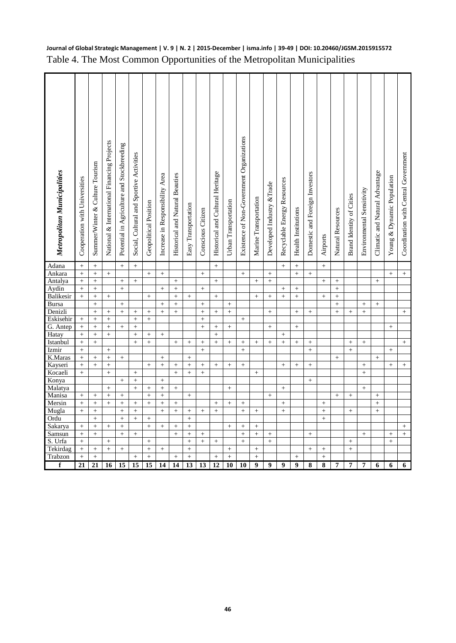| Metropolitan Municipalities | Cooperation with Universities | Summer/Winter & Culture Tourism | National & International Financing Projects | Potential in Agriculture and Stockbreeding | Social, Cultural and Sportive Activities | Geopolitical Position          | Increase in Responsibility Area | Historical and Natural Beauties | Easy Transportation | Conscious Citizen | Historical and Cultural Heritage | Urban Transportation | Existence of Non-Government Organizations | Marine Transportation | Developed Industry &Trade | Recyclable Energy Resources | <b>Health Institutions</b> | Domestic and Foreign Investors | Airports               | Natural Resources | Brand Identity of Cities | Environmental Sensitivity | Climatic and Natural Advantage | Young & Dynamic Population | Coordination with Central Government |
|-----------------------------|-------------------------------|---------------------------------|---------------------------------------------|--------------------------------------------|------------------------------------------|--------------------------------|---------------------------------|---------------------------------|---------------------|-------------------|----------------------------------|----------------------|-------------------------------------------|-----------------------|---------------------------|-----------------------------|----------------------------|--------------------------------|------------------------|-------------------|--------------------------|---------------------------|--------------------------------|----------------------------|--------------------------------------|
| Adana                       | $\ddot{}$                     | $+$                             |                                             | $+$                                        | $+$                                      |                                |                                 |                                 |                     |                   | $+$                              |                      |                                           |                       |                           | $\ddot{}$                   | $+$                        |                                | $+$                    |                   |                          |                           |                                |                            |                                      |
| Ankara                      |                               |                                 | $\boldsymbol{+}$                            |                                            |                                          | $\! + \!\!\!\!$                |                                 |                                 |                     | $\boldsymbol{+}$  |                                  |                      |                                           |                       | $+$                       |                             | $\boldsymbol{+}$           | $\! + \!\!\!\!$                |                        |                   |                          |                           |                                | $\! + \!\!\!\!$            | $+$                                  |
| Antalya                     | $\ddot{}$                     | $+$                             |                                             | $^{+}$                                     | $^{+}$                                   |                                |                                 | $+$                             |                     |                   | $+$                              |                      |                                           | $+$                   | $+$                       |                             |                            |                                | $^{+}$                 | $+$               |                          |                           | $+$                            |                            |                                      |
| Aydin                       | $^{+}$                        | $\! + \!$                       |                                             | $\ddot{}$                                  |                                          |                                | $\ddot{}$                       | $^{+}$                          |                     | $\boldsymbol{+}$  |                                  |                      |                                           |                       |                           | $^{+}$                      | $^{+}$                     |                                |                        | $\ddot{}$         |                          |                           |                                |                            |                                      |
| Balikesir                   | $\ddot{}$                     | $\ddot{}$                       | $^{+}$                                      |                                            |                                          | $+$                            |                                 | $\ddot{}$                       | $^{+}$              |                   | $^{+}$                           |                      |                                           | $+$                   | $^{+}$                    | $\ddot{}$                   | $\ddot{}$                  |                                | $^{+}$                 | $\ddot{}$         |                          |                           |                                |                            |                                      |
| <b>Bursa</b>                |                               | $\ddot{}$                       |                                             | $\ddot{}$                                  |                                          |                                | $\ddot{}$                       | $\ddot{}$                       |                     | $^{+}$            |                                  | $\ddot{}$            |                                           |                       |                           |                             |                            |                                |                        | $\ddot{}$         |                          | $+$                       | $+$                            |                            |                                      |
| Denizli                     |                               | $\ddot{}$                       | $\ddot{}$                                   | $^{+}$                                     | $+$                                      | $\! + \!\!\!\!$                | $^{+}$                          | $^{+}$                          |                     | $^{+}$            | $+$                              | $\ddot{}$            |                                           |                       | $+$                       |                             | $^{+}$                     | $^{+}$                         |                        | $\ddot{}$         | $+$                      | $^{+}$                    |                                |                            | $+$                                  |
| Eskisehir<br>G. Antep       | $\ddot{}$                     | $\ddot{}$<br>$\ddot{}$          | $\ddot{}$<br>$\pm$                          | $^{+}$                                     | $\ddot{}$<br>$+$                         | $^{+}$                         |                                 |                                 |                     | $\ddot{}$         |                                  |                      | $+$                                       |                       | $^{+}$                    |                             |                            |                                |                        |                   |                          |                           |                                |                            |                                      |
| Hatay                       | $^{+}$<br>$^{+}$              |                                 | $^+$                                        |                                            | $\boldsymbol{+}$                         | $\! + \!\!\!\!$                |                                 |                                 |                     | $+$               | $+$<br>$^{+}$                    | $+$                  |                                           |                       |                           |                             | $+$                        |                                |                        |                   |                          |                           |                                | $+$                        |                                      |
| Istanbul                    | $^{+}$                        | $\boldsymbol{+}$                |                                             |                                            | $^{+}$                                   | $\ddot{}$                      |                                 | $\qquad \qquad +$               | $^{+}$              | $\boldsymbol{+}$  | $^{+}$                           | $^{+}$               | $\boldsymbol{+}$                          | $+$                   | $+$                       | $^{+}$                      | $+$                        | $\boldsymbol{+}$               |                        |                   | $^{+}$                   | $+$                       |                                |                            | $+$                                  |
| Izmir                       | $^{+}$                        |                                 | $\boldsymbol{+}$                            |                                            |                                          |                                |                                 |                                 |                     | $\qquad \qquad +$ |                                  |                      | $^{+}$                                    |                       |                           |                             |                            | $^{+}$                         |                        |                   | $\boldsymbol{+}$         |                           |                                |                            |                                      |
| K.Maras                     | $\ddot{}$                     | $+$                             | $\ddot{}$                                   | $+$                                        |                                          |                                | $\ddot{}$                       |                                 | $^{+}$              |                   |                                  |                      |                                           |                       |                           |                             |                            |                                |                        | $+$               |                          |                           | $\ddot{}$                      |                            |                                      |
| Kayseri                     | $\ddot{}$                     | $\ddot{}$                       | $\boldsymbol{+}$                            |                                            |                                          | $+$                            | $\ddot{}$                       | $\ddot{}$                       | $\ddot{}$           | $+$               | $^{+}$                           | $\ddot{}$            | $+$                                       |                       |                           | $\ddot{}$                   | $\ddot{}$                  | $^{+}$                         |                        |                   |                          | $+$                       |                                | $\ddot{}$                  | $+$                                  |
| Kocaeli                     | $^{+}$                        |                                 | $\boldsymbol{+}$                            |                                            | $\boldsymbol{+}$                         |                                |                                 | $^{+}$                          | $^{+}$              | $+$               |                                  |                      |                                           | $+$                   |                           |                             |                            |                                |                        |                   |                          | $+$                       |                                |                            |                                      |
|                             |                               |                                 |                                             | $^{+}$                                     |                                          |                                | $^{+}$                          |                                 |                     |                   |                                  |                      |                                           |                       |                           |                             |                            | $^{+}$                         |                        |                   |                          |                           |                                |                            |                                      |
| Konya                       |                               |                                 |                                             |                                            | $\ddot{}$                                |                                |                                 |                                 |                     |                   |                                  |                      |                                           |                       |                           |                             |                            |                                |                        |                   |                          |                           |                                |                            |                                      |
|                             |                               |                                 | $\pm$                                       |                                            | $\ddot{}$                                | $\ddot{}$                      | $\ddot{}$                       | $\ddot{}$                       |                     |                   |                                  | $^{+}$               |                                           |                       |                           | $^{+}$                      |                            |                                |                        |                   |                          | $+$                       |                                |                            |                                      |
| Malatya<br>Manisa           | $^{+}$                        | $\ddot{}$                       | $\boldsymbol{+}$                            | $^{+}$                                     |                                          | $\ddot{+}$                     | $\ddot{}$                       |                                 | $^{+}$              |                   |                                  |                      |                                           |                       | $+$                       |                             |                            |                                |                        | $+$               | $+$                      |                           | $^{+}$                         |                            |                                      |
| Mersin                      | $^{+}$                        | $\ddot{}$                       | $^{+}$                                      | $\! + \!$                                  | $\boldsymbol{+}$                         | $\ddot{}$                      | $\ddot{}$                       | $\qquad \qquad +$               |                     |                   | $^{+}$                           | $^{+}$               | $\boldsymbol{+}$                          |                       |                           | $^{+}$                      |                            |                                | $\boldsymbol{+}$       |                   |                          |                           | $^+$                           |                            |                                      |
| Mugla                       | $^{+}$                        |                                 |                                             | $\qquad \qquad +$                          | $^{+}$                                   |                                | $\ddot{}$                       | $\ddot{}$                       |                     | $^{+}$            | $\ddot{}$                        |                      | $+$                                       |                       |                           | $^{+}$                      |                            |                                | $^{+}$                 |                   | $^{+}$                   |                           | $+$                            |                            |                                      |
| Ordu                        |                               | $\ddag$                         |                                             | $\ddot{}$                                  | $^{+}$                                   | $\ddot{}$                      |                                 |                                 | $\ddot{}$           |                   |                                  |                      |                                           |                       |                           |                             |                            |                                | $\ddot{}$              |                   |                          |                           |                                |                            |                                      |
| Sakarya                     | $^{+}$                        | $+$                             | $\ddot{}$                                   | $\ddot{}$                                  |                                          | $\ddot{+}$                     | $\ddot{}$                       | $\ddot{}$                       | $\ddot{}$           |                   |                                  | $+$                  | $\ddot{}$                                 | $^{+}$                |                           |                             |                            |                                |                        |                   |                          |                           |                                |                            | $\ddot{}$                            |
| Samsun                      | $\! + \!\!\!\!$               | $\! +$                          |                                             | $\qquad \qquad +$                          | $\! + \!\!\!\!$                          |                                |                                 | $^{+}$                          |                     | $\! + \!\!\!\!$   |                                  |                      |                                           |                       |                           |                             |                            | $\! + \!\!\!\!$                |                        |                   |                          | $\! + \!\!\!\!$           |                                | $^{+}$                     | $^{+}$                               |
| Urfa                        | $\ddot{}$                     |                                 | $^{+}$                                      |                                            |                                          | $+$                            |                                 |                                 | $\ddot{}$           | $\ddot{}$         | $^{+}$                           |                      | $\ddot{}$                                 |                       | $\ddot{}$                 |                             |                            |                                |                        |                   | $\ddot{}$                |                           |                                | $\ddot{}$                  |                                      |
| Tekirdag<br>Trabzon         | $^{+}$<br>$\ddot{}$           | $^+$<br>$\ddot{}$               | $\boldsymbol{+}$                            | $^{+}$                                     | $\ddot{}$                                | $\qquad \qquad +$<br>$\ddot{}$ | $^{+}$                          | $\ddot{}$                       | $^{+}$<br>$\ddot{}$ |                   | $\ddot{}$                        | $^{+}$<br>$\ddot{}$  |                                           | $\ddot{}$             |                           |                             | $+$                        | $^{+}$                         | $\! + \!$<br>$\ddot{}$ |                   | $^{+}$                   |                           |                                |                            |                                      |

## **Journal of Global Strategic Management | V. 9 | N. 2 | 2015-December | isma.info | 39-49 | DOI: 10.20460/JGSM.2015915572** Table 4. The Most Common Opportunities of the Metropolitan Municipalities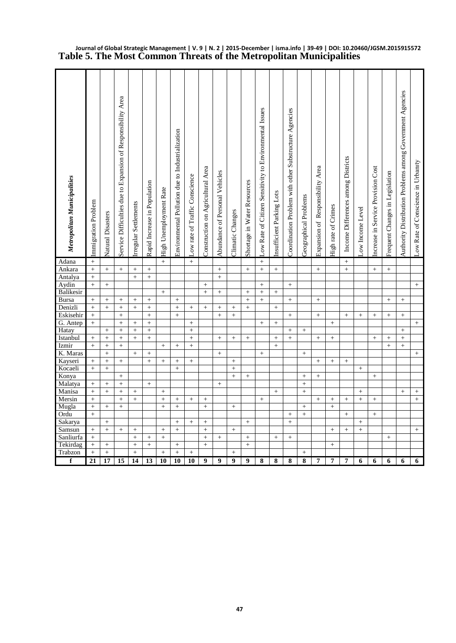| Metropolitan Municipalities | Immigration Problem | <b>Natural Disasters</b> | Service Difficulties due to Expansion of Responsibility Area | Irregular Settlements | Rapid Increase in Population | High Unemployment Rate | Environmental Pollution due to Industrialization | Low rate of Traffic Conscience | Construction on Agricultural Area | Abundance of Personal Vehicles | Climatic Changes    | Shortage in Water Resources | Low Rate of Citizen Sensitivity to Environmental Issues | Insufficient Parking Lots | Coordination Problem with other Substructure Agencies | Geographical Problems | Expansion of Responsibility Area | High rate of Crimes | Income Differences among Districts | ow Income Level | increase in Service Provision Cost | Frequent Changes in Legislation | Authority Distribution Problems among Government Agencies | Low Rate of Conscience in Urbanity |
|-----------------------------|---------------------|--------------------------|--------------------------------------------------------------|-----------------------|------------------------------|------------------------|--------------------------------------------------|--------------------------------|-----------------------------------|--------------------------------|---------------------|-----------------------------|---------------------------------------------------------|---------------------------|-------------------------------------------------------|-----------------------|----------------------------------|---------------------|------------------------------------|-----------------|------------------------------------|---------------------------------|-----------------------------------------------------------|------------------------------------|
| Adana                       | $\ddot{}$           |                          |                                                              |                       |                              | $+$                    |                                                  | $\ddot{}$                      |                                   |                                |                     |                             | $^{+}$                                                  |                           |                                                       |                       |                                  |                     | $\! +$                             |                 |                                    |                                 |                                                           |                                    |
| Ankara                      | $\ddot{}$           | $+$                      | $+$                                                          | $^{+}$                | $^+$                         |                        |                                                  |                                |                                   | $+$                            |                     | $^+$                        | $\ddot{}$                                               | $+$                       |                                                       |                       | $+$                              |                     | $\ddot{}$                          |                 | $\qquad \qquad +$                  | $^{+}$                          |                                                           |                                    |
| Antalya                     | $\ddot{}$           |                          |                                                              | $\ddot{}$             | $\boldsymbol{+}$             |                        |                                                  |                                |                                   | $^{+}$                         |                     |                             |                                                         |                           |                                                       |                       |                                  |                     |                                    |                 |                                    |                                 |                                                           |                                    |
| Aydin                       | $^{+}$              | $+$                      |                                                              |                       |                              |                        |                                                  |                                | $^{+}$                            |                                |                     |                             | $^{+}$                                                  |                           | $^{+}$                                                |                       |                                  |                     |                                    |                 |                                    |                                 |                                                           | $+$                                |
| Balikesir                   |                     |                          |                                                              |                       |                              | $^{+}$                 |                                                  |                                | $^{+}$                            | $\boldsymbol{+}$               |                     | $^{+}$                      | $^{+}$                                                  | $\qquad \qquad +$         |                                                       |                       |                                  |                     |                                    |                 |                                    |                                 |                                                           |                                    |
| <b>Bursa</b>                | $\ddot{}$           | $^{+}$                   | $\ddot{}$                                                    | $\ddot{}$             | $^{+}$                       |                        | $\ddot{}$                                        |                                |                                   |                                |                     | $\ddot{}$                   | $\ddot{}$                                               |                           | $\ddot{}$                                             |                       | $\pm$                            |                     |                                    |                 |                                    | $+$                             | $\ddot{}$                                                 |                                    |
| Denizli                     | $\ddot{}$           | $\ddot{}$                | $^{+}$                                                       | $\ddot{}$             | $\qquad \qquad +$            |                        | $\ddot{}$                                        | $+$                            | $^{+}$                            | $+$                            | $^{+}$              | $\ddot{}$                   |                                                         | $^{+}$                    |                                                       |                       |                                  |                     |                                    |                 |                                    |                                 |                                                           |                                    |
| Eskisehir                   | $^{+}$              |                          | $\boldsymbol{+}$                                             |                       | $^{+}$                       |                        | $^{+}$                                           |                                |                                   | $^{+}$                         | $^{+}$              |                             |                                                         |                           | $^{+}$                                                |                       |                                  |                     | $+$                                |                 |                                    | $\! + \!\!\!\!$                 |                                                           |                                    |
| G. Antep                    | $\ddot{}$           |                          | $^{+}$                                                       | $\ddot{}$             | $\qquad \qquad +$            |                        |                                                  | $^{+}$                         |                                   |                                |                     |                             | $^{+}$                                                  | $+$                       |                                                       |                       |                                  | $\ddot{}$           |                                    |                 |                                    |                                 |                                                           | $+$                                |
| Hatay                       |                     | $^{+}$                   | $\ddot{}$                                                    | $\ddot{}$             | $\ddot{}$                    |                        |                                                  | $\ddot{}$                      |                                   |                                |                     |                             |                                                         |                           | $^{+}$                                                | $\boldsymbol{+}$      |                                  |                     |                                    |                 |                                    |                                 | $^{+}$                                                    |                                    |
| Istanbul                    | $^{+}$              | $\boldsymbol{+}$         | $\boldsymbol{+}$                                             | $\ddot{}$             | $^+$                         |                        |                                                  | $^{+}$                         |                                   | $+$                            | $^{+}$              | $\boldsymbol{+}$            |                                                         | $+$                       | $+$                                                   |                       | $+$                              | $^{+}$              |                                    |                 | $+$                                | $^{+}$                          | $^{+}$                                                    |                                    |
| Izmir                       | $\ddot{}$           | $\boldsymbol{+}$         | $^{+}$                                                       |                       |                              | $\qquad \qquad +$      | $^{+}$                                           | $\ddot{}$                      |                                   |                                |                     |                             |                                                         | $^{+}$                    |                                                       |                       |                                  |                     |                                    |                 |                                    | $\ddot{}$                       | $^{+}$                                                    |                                    |
| K. Maras                    |                     | $^{+}$                   |                                                              | $\ddot{}$             | $^+$                         |                        |                                                  |                                |                                   | $+$                            |                     |                             | $\boldsymbol{+}$                                        |                           |                                                       | $+$                   |                                  |                     |                                    |                 |                                    |                                 |                                                           | $^{+}$                             |
| Kayseri<br>Kocaeli          | $^{+}$<br>$\ddot{}$ | $^{+}$<br>$\ddot{}$      | $\boldsymbol{+}$                                             |                       | $\ddot{}$                    | $^{+}$                 | $^{+}$<br>$\ddot{}$                              |                                |                                   |                                | $^{+}$<br>$\ddot{}$ |                             |                                                         |                           |                                                       |                       | $+$                              | $^{+}$              | $\qquad \qquad +$                  | $^{+}$          |                                    |                                 |                                                           |                                    |
| Konya                       |                     |                          | $+$                                                          |                       |                              |                        |                                                  |                                |                                   |                                | $\ddot{}$           | $^{+}$                      |                                                         |                           |                                                       | $^{+}$                | $^{+}$                           |                     |                                    |                 |                                    |                                 |                                                           |                                    |
| Malatya                     |                     |                          | $\ddot{}$                                                    |                       | $\boldsymbol{+}$             |                        |                                                  |                                |                                   | $+$                            |                     |                             |                                                         |                           |                                                       | $\ddot{}$             |                                  |                     |                                    |                 | $\boldsymbol{+}$                   |                                 |                                                           |                                    |
| Manisa                      | $\ddot{}$           | $+$                      | $^{+}$                                                       | $\ddot{}$             |                              | $^{+}$                 |                                                  |                                |                                   |                                |                     |                             |                                                         | $+$                       |                                                       | $+$                   |                                  |                     |                                    | $^{+}$          |                                    |                                 | $+$                                                       | $\boldsymbol{+}$                   |
| Mersin                      | $\ddot{}$           |                          | $^{+}$                                                       | $\ddot{}$             |                              | $+$                    | $^{+}$                                           | $+$                            | $\boldsymbol{+}$                  |                                |                     |                             | $+$                                                     |                           |                                                       |                       | $+$                              | $^{+}$              |                                    | $^{+}$          | $\qquad \qquad +$                  |                                 |                                                           | $+$                                |
| Mugla                       | $^{+}$              |                          | $^{+}$                                                       |                       |                              | $^{+}$                 | $^{+}$                                           |                                |                                   |                                |                     |                             |                                                         |                           |                                                       |                       |                                  | $\ddot{}$           |                                    |                 |                                    |                                 |                                                           |                                    |
| Ordu                        | $\ddot{}$           |                          |                                                              |                       |                              |                        |                                                  |                                |                                   |                                |                     |                             |                                                         |                           | $+$                                                   | $\ddot{}$             |                                  |                     | $^{+}$                             |                 | $^{+}$                             |                                 |                                                           |                                    |
| Sakarya                     |                     | $^{+}$                   |                                                              |                       |                              |                        | $^{+}$                                           | $^{+}$                         | $^{+}$                            |                                |                     | $\boldsymbol{+}$            |                                                         |                           | $^{+}$                                                |                       |                                  |                     |                                    | $\! + \!\!\!\!$ |                                    |                                 |                                                           |                                    |
| Samsun                      | $\ddot{}$           | $\ddot{+}$               | $+$                                                          | $\ddot{}$             |                              | $\ddot{}$              | $\ddot{}$                                        |                                | $\ddot{}$                         |                                | $+$                 |                             |                                                         |                           |                                                       |                       |                                  | $\ddot{}$           | $+$                                | $\ddot{}$       |                                    |                                 |                                                           | $+$                                |
| Sanliurfa                   | $\ddot{}$           |                          |                                                              | $\ddot{}$             | $^{+}$                       | $\ddot{}$              |                                                  |                                | $\ddot{}$                         | $\pm$                          |                     | $^+$                        |                                                         | $\boldsymbol{+}$          | $+$                                                   |                       |                                  |                     |                                    |                 |                                    | $^{+}$                          |                                                           |                                    |
| Tekirdag                    | $^{+}$              | $\boldsymbol{+}$         |                                                              | $\ddot{}$             | $\boldsymbol{+}$             |                        | $^{+}$                                           |                                | $^{+}$                            |                                |                     | $+$                         |                                                         |                           |                                                       |                       |                                  | $^{+}$              |                                    |                 |                                    |                                 |                                                           |                                    |
| Trabzon                     | $\ddot{}$           | $\ddot{}$                |                                                              | $\ddot{}$             |                              | $+$                    | $\ddot{}$                                        | $+$                            |                                   |                                | $\ddot{}$           |                             |                                                         |                           |                                                       | $\ddot{}$             |                                  |                     |                                    |                 |                                    |                                 |                                                           |                                    |
| $\mathbf f$                 | 21                  | 17                       | 15                                                           | 14                    | 13                           | 10                     | 10                                               | 10                             | 9                                 | $\boldsymbol{9}$               | $\boldsymbol{9}$    | 9                           | 8                                                       | 8                         | 8                                                     | 8                     | 7                                | 7                   | 7                                  | 6               | 6                                  | 6                               | 6                                                         | 6                                  |

**Journal of Global Strategic Management | V. 9 | N. 2 | 2015-December | isma.info | 39-49 | DOI: 10.20460/JGSM.2015915572 Table 5. The Most Common Threats of the Metropolitan Municipalities**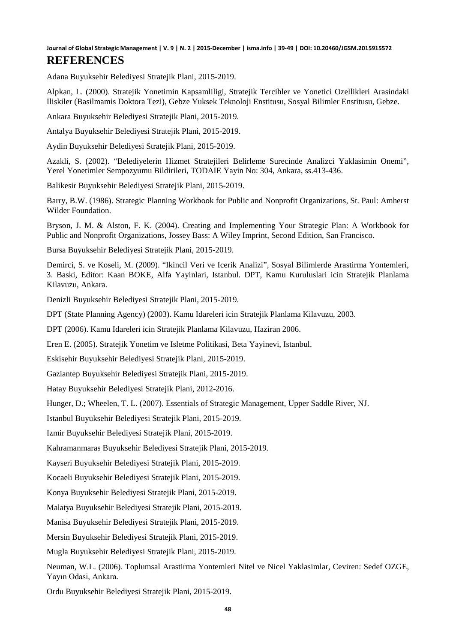Adana Buyuksehir Belediyesi Stratejik Plani, 2015-2019.

Alpkan, L. (2000). Stratejik Yonetimin Kapsamliligi, Stratejik Tercihler ve Yonetici Ozellikleri Arasindaki Iliskiler (Basilmamis Doktora Tezi), Gebze Yuksek Teknoloji Enstitusu, Sosyal Bilimler Enstitusu, Gebze.

Ankara Buyuksehir Belediyesi Stratejik Plani, 2015-2019.

Antalya Buyuksehir Belediyesi Stratejik Plani, 2015-2019.

Aydin Buyuksehir Belediyesi Stratejik Plani, 2015-2019.

Azakli, S. (2002). "Belediyelerin Hizmet Stratejileri Belirleme Surecinde Analizci Yaklasimin Onemi", Yerel Yonetimler Sempozyumu Bildirileri, TODAIE Yayin No: 304, Ankara, ss.413-436.

Balikesir Buyuksehir Belediyesi Stratejik Plani, 2015-2019.

Barry, B.W. (1986). Strategic Planning Workbook for Public and Nonprofit Organizations, St. Paul: Amherst Wilder Foundation.

Bryson, J. M. & Alston, F. K. (2004). Creating and Implementing Your Strategic Plan: A Workbook for Public and Nonprofit Organizations, Jossey Bass: A Wiley Imprint, Second Edition, San Francisco.

Bursa Buyuksehir Belediyesi Stratejik Plani, 2015-2019.

Demirci, S. ve Koseli, M. (2009). "Ikincil Veri ve Icerik Analizi", Sosyal Bilimlerde Arastirma Yontemleri, 3. Baski, Editor: Kaan BOKE, Alfa Yayinlari, Istanbul. DPT, Kamu Kuruluslari icin Stratejik Planlama Kilavuzu, Ankara.

Denizli Buyuksehir Belediyesi Stratejik Plani, 2015-2019.

DPT (State Planning Agency) (2003). Kamu Idareleri icin Stratejik Planlama Kilavuzu, 2003.

DPT (2006). Kamu Idareleri icin Stratejik Planlama Kilavuzu, Haziran 2006.

Eren E. (2005). Stratejik Yonetim ve Isletme Politikasi, Beta Yayinevi, Istanbul.

Eskisehir Buyuksehir Belediyesi Stratejik Plani, 2015-2019.

Gaziantep Buyuksehir Belediyesi Stratejik Plani, 2015-2019.

Hatay Buyuksehir Belediyesi Stratejik Plani, 2012-2016.

Hunger, D.; Wheelen, T. L. (2007). Essentials of Strategic Management, Upper Saddle River, NJ.

Istanbul Buyuksehir Belediyesi Stratejik Plani, 2015-2019.

Izmir Buyuksehir Belediyesi Stratejik Plani, 2015-2019.

Kahramanmaras Buyuksehir Belediyesi Stratejik Plani, 2015-2019.

Kayseri Buyuksehir Belediyesi Stratejik Plani, 2015-2019.

Kocaeli Buyuksehir Belediyesi Stratejik Plani, 2015-2019.

Konya Buyuksehir Belediyesi Stratejik Plani, 2015-2019.

Malatya Buyuksehir Belediyesi Stratejik Plani, 2015-2019.

Manisa Buyuksehir Belediyesi Stratejik Plani, 2015-2019.

Mersin Buyuksehir Belediyesi Stratejik Plani, 2015-2019.

Mugla Buyuksehir Belediyesi Stratejik Plani, 2015-2019.

Neuman, W.L. (2006). Toplumsal Arastirma Yontemleri Nitel ve Nicel Yaklasimlar, Ceviren: Sedef OZGE, Yayın Odasi, Ankara.

Ordu Buyuksehir Belediyesi Stratejik Plani, 2015-2019.